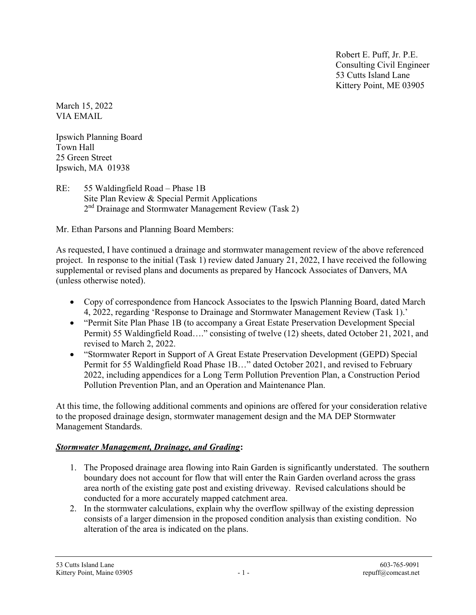Robert E. Puff, Jr. P.E. Consulting Civil Engineer 53 Cutts Island Lane Kittery Point, ME 03905

March 15, 2022 VIA EMAIL

Ipswich Planning Board Town Hall 25 Green Street Ipswich, MA 01938

RE: 55 Waldingfield Road – Phase 1B Site Plan Review & Special Permit Applications 2<sup>nd</sup> Drainage and Stormwater Management Review (Task 2)

Mr. Ethan Parsons and Planning Board Members:

As requested, I have continued a drainage and stormwater management review of the above referenced project. In response to the initial (Task 1) review dated January 21, 2022, I have received the following supplemental or revised plans and documents as prepared by Hancock Associates of Danvers, MA (unless otherwise noted).

- Copy of correspondence from Hancock Associates to the Ipswich Planning Board, dated March 4, 2022, regarding 'Response to Drainage and Stormwater Management Review (Task 1).'
- "Permit Site Plan Phase 1B (to accompany a Great Estate Preservation Development Special Permit) 55 Waldingfield Road…." consisting of twelve (12) sheets, dated October 21, 2021, and revised to March 2, 2022.
- "Stormwater Report in Support of A Great Estate Preservation Development (GEPD) Special Permit for 55 Waldingfield Road Phase 1B…" dated October 2021, and revised to February 2022, including appendices for a Long Term Pollution Prevention Plan, a Construction Period Pollution Prevention Plan, and an Operation and Maintenance Plan.

At this time, the following additional comments and opinions are offered for your consideration relative to the proposed drainage design, stormwater management design and the MA DEP Stormwater Management Standards.

## Stormwater Management, Drainage, and Grading:

- 1. The Proposed drainage area flowing into Rain Garden is significantly understated. The southern boundary does not account for flow that will enter the Rain Garden overland across the grass area north of the existing gate post and existing driveway. Revised calculations should be conducted for a more accurately mapped catchment area.
- 2. In the stormwater calculations, explain why the overflow spillway of the existing depression consists of a larger dimension in the proposed condition analysis than existing condition. No alteration of the area is indicated on the plans.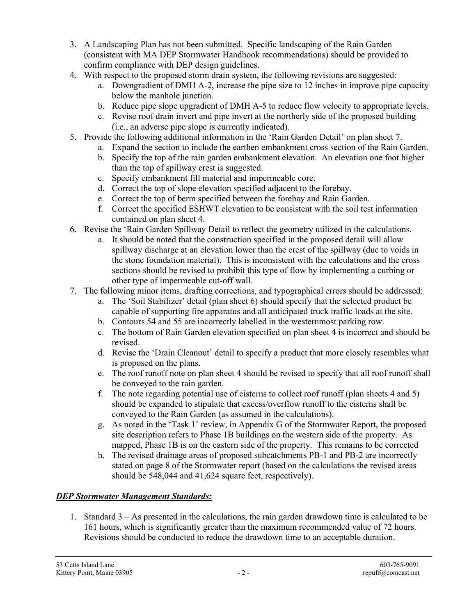- 3. A Landscaping Plan has not been submitted. Specific landscaping of the Rain Garden (consistent with MA DEP Stormwater Handbook recommendations) should be provided to confirm compliance with DEP design guidelines.
- 4. With respect to the proposed storm drain system, the following revisions are suggested:
	- a. Downgradient of DMH A-2, increase the pipe size to 12 inches in improve pipe capacity below the manhole junction.
	- b. Reduce pipe slope upgradient of DMH A-5 to reduce flow velocity to appropriate levels.
	- c. Revise roof drain invert and pipe invert at the northerly side of the proposed building (i.e., an adverse pipe slope is currently indicated).
- 5. Provide the following additional information in the 'Rain Garden Detail' on plan sheet 7.
	- a. Expand the section to include the earthen embankment cross section of the Rain Garden.
		- b. Specify the top of the rain garden embankment elevation. An elevation one foot higher than the top of spillway crest is suggested.
		- c. Specify embankment fill material and impermeable core.
		- d. Correct the top of slope elevation specified adjacent to the forebay.
		- e. Correct the top of berm specified between the forebay and Rain Garden.
		- f. Correct the specified ESHWT elevation to be consistent with the soil test information contained on plan sheet 4.
- 6. Revise the 'Rain Garden Spillway Detail to reflect the geometry utilized in the calculations.
	- a. It should be noted that the construction specified in the proposed detail will allow spillway discharge at an elevation lower than the crest of the spillway (due to voids in the stone foundation material). This is inconsistent with the calculations and the cross sections should be revised to prohibit this type of flow by implementing a curbing or other type of impermeable cut-off wall.
- 7. The following minor items, drafting corrections, and typographical errors should be addressed:
	- a. The 'Soil Stabilizer' detail (plan sheet 6) should specify that the selected product be capable of supporting fire apparatus and all anticipated truck traffic loads at the site.
	- b. Contours 54 and 55 are incorrectly labelled in the westernmost parking row.
	- c. The bottom of Rain Garden elevation specified on plan sheet 4 is incorrect and should be revised.
	- d. Revise the 'Drain Cleanout' detail to specify a product that more closely resembles what is proposed on the plans.
	- e. The roof runoff note on plan sheet 4 should be revised to specify that all roof runoff shall be conveyed to the rain garden.
	- f. The note regarding potential use of cisterns to collect roof runoff (plan sheets 4 and 5) should be expanded to stipulate that excess/overflow runoff to the cisterns shall be conveyed to the Rain Garden (as assumed in the calculations).
	- g. As noted in the 'Task 1' review, in Appendix G of the Stormwater Report, the proposed site description refers to Phase 1B buildings on the western side of the property. As mapped, Phase 1B is on the eastern side of the property. This remains to be corrected
	- h. The revised drainage areas of proposed subcatchments PB-1 and PB-2 are incorrectly stated on page 8 of the Stormwater report (based on the calculations the revised areas should be 548,044 and 41,624 square feet, respectively).

## DEP Stormwater Management Standards:

1. Standard 3 – As presented in the calculations, the rain garden drawdown time is calculated to be 161 hours, which is significantly greater than the maximum recommended value of 72 hours. Revisions should be conducted to reduce the drawdown time to an acceptable duration.